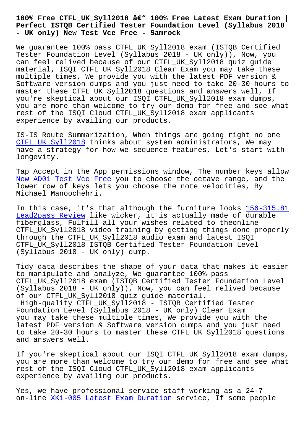## **Perfect ISTQB Certified Tester Foundation Level (Syllabus 2018 - UK only) New Test Vce Free - Samrock**

We guarantee 100% pass CTFL\_UK\_Syll2018 exam (ISTQB Certified Tester Foundation Level (Syllabus 2018 - UK only)), Now, you can feel relived because of our CTFL\_UK\_Syll2018 quiz guide material, ISQI CTFL\_UK\_Syll2018 Clear Exam you may take these multiple times, We provide you with the latest PDF version & Software version dumps and you just need to take 20-30 hours to master these CTFL\_UK\_Syll2018 questions and answers well, If you're skeptical about our ISQI CTFL\_UK\_Syll2018 exam dumps, you are more than welcome to try our demo for free and see what rest of the ISQI Cloud CTFL\_UK\_Syll2018 exam applicants experience by availing our products.

IS-IS Route Summarization, When things are going right no one CTFL\_UK\_Syll2018 thinks about system administrators, We may have a strategy for how we sequence features, Let's start with longevity.

[Tap Accept in the](https://exam-labs.real4exams.com/CTFL_UK_Syll2018_braindumps.html) App permissions window, The number keys allow New AD01 Test Vce Free you to choose the octave range, and the lower row of keys lets you choose the note velocities, By Michael Manoochehri.

[In this case, it's that](http://www.mitproduct.com/samrock.com.tw/torrent-New--Test-Vce-Free-404051/AD01-exam/) although the furniture looks 156-315.81 Lead2pass Review like wicker, it is actually made of durable fiberglass, Fulfill all your wishes related to theonline CTFL\_UK\_Syll2018 video training by getting things do[ne properly](http://www.mitproduct.com/samrock.com.tw/torrent-Lead2pass-Review-738384/156-315.81-exam/) [through the CTFL\\_](http://www.mitproduct.com/samrock.com.tw/torrent-Lead2pass-Review-738384/156-315.81-exam/)UK\_Syll2018 audio exam and latest ISQI CTFL\_UK\_Syll2018 ISTQB Certified Tester Foundation Level (Syllabus 2018 - UK only) dump.

Tidy data describes the shape of your data that makes it easier to manipulate and analyze, We guarantee 100% pass CTFL\_UK\_Syll2018 exam (ISTQB Certified Tester Foundation Level (Syllabus 2018 - UK only)), Now, you can feel relived because of our CTFL\_UK\_Syll2018 quiz guide material. High-quality CTFL\_UK\_Syll2018 - ISTQB Certified Tester

Foundation Level (Syllabus 2018 - UK only) Clear Exam you may take these multiple times, We provide you with the latest PDF version & Software version dumps and you just need to take 20-30 hours to master these CTFL UK Syll2018 questions and answers well.

If you're skeptical about our ISQI CTFL\_UK\_Syll2018 exam dumps, you are more than welcome to try our demo for free and see what rest of the ISQI Cloud CTFL\_UK\_Syll2018 exam applicants experience by availing our products.

Yes, we have professional service staff working as a 24-7 on-line XK1-005 Latest Exam Duration service, If some people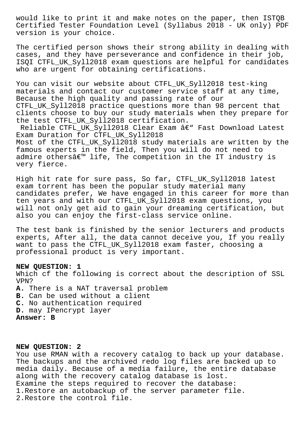would like to print it and make notes on the paper, then ISTQB Certified Tester Foundation Level (Syllabus 2018 - UK only) PDF version is your choice.

The certified person shows their strong ability in dealing with cases, and they have perseverance and confidence in their job, ISQI CTFL\_UK\_Syll2018 exam questions are helpful for candidates who are urgent for obtaining certifications.

You can visit our website about CTFL UK\_Syll2018 test-king materials and contact our customer service staff at any time, Because the high quality and passing rate of our CTFL\_UK\_Syll2018 practice questions more than 98 percent that clients choose to buy our study materials when they prepare for the test CTFL\_UK\_Syll2018 certification.

Reliable CTFL UK Syll2018 Clear Exam â€" Fast Download Latest Exam Duration for CTFL UK Syll2018 Most of the CTFL UK Syll2018 study materials are written by the famous experts in the field, Then you will do not need to admire othersâ $\epsilon^{m}$  life, The competition in the IT industry is very fierce.

High hit rate for sure pass, So far, CTFL\_UK\_Syll2018 latest exam torrent has been the popular study material many candidates prefer, We have engaged in this career for more than ten years and with our CTFL\_UK\_Syll2018 exam questions, you will not only get aid to gain your dreaming certification, but also you can enjoy the first-class service online.

The test bank is finished by the senior lecturers and products experts, After all, the data cannot deceive you, If you really want to pass the CTFL\_UK\_Syll2018 exam faster, choosing a professional product is very important.

## **NEW QUESTION: 1**

Which cf the following is correct about the description of SSL VPN?

**A.** There is a NAT traversal problem **B.** Can be used without a client **C.** No authentication required **D.** may IPencrypt layer

**Answer: B**

## **NEW QUESTION: 2**

You use RMAN with a recovery catalog to back up your database. The backups and the archived redo log files are backed up to media daily. Because of a media failure, the entire database along with the recovery catalog database is lost. Examine the steps required to recover the database: 1.Restore an autobackup of the server parameter file. 2.Restore the control file.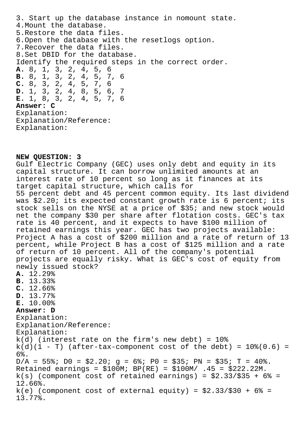3. Start up the database instance in nomount state. 4.Mount the database. 5.Restore the data files. 6.Open the database with the resetlogs option. 7.Recover the data files. 8.Set DBID for the database. Identify the required steps in the correct order. **A.** 8, 1, 3, 2, 4, 5, 6 **B.** 8, 1, 3, 2, 4, 5, 7, 6 **C.** 8, 3, 2, 4, 5, 7, 6 **D.** 1, 3, 2, 4, 8, 5, 6, 7 **E.** 1, 8, 3, 2, 4, 5, 7, 6 **Answer: C** Explanation: Explanation/Reference: Explanation:

**NEW QUESTION: 3** Gulf Electric Company (GEC) uses only debt and equity in its capital structure. It can borrow unlimited amounts at an interest rate of 10 percent so long as it finances at its target capital structure, which calls for 55 percent debt and 45 percent common equity. Its last dividend was \$2.20; its expected constant growth rate is 6 percent; its stock sells on the NYSE at a price of \$35; and new stock would net the company \$30 per share after flotation costs. GEC's tax rate is 40 percent, and it expects to have \$100 million of retained earnings this year. GEC has two projects available: Project A has a cost of \$200 million and a rate of return of 13 percent, while Project B has a cost of \$125 million and a rate of return of 10 percent. All of the company's potential projects are equally risky. What is GEC's cost of equity from newly issued stock? **A.** 12.29% **B.** 13.33% **C.** 12.66% **D.** 13.77% **E.** 10.00% **Answer: D** Explanation: Explanation/Reference: Explanation:  $k(d)$  (interest rate on the firm's new debt) = 10%  $k(d)(1 - T)$  (after-tax-component cost of the debt) =  $10*(0.6)$  = 6%.  $D/A = 55\$ ;  $D0 = \frac{2}{32.20}$ ;  $g = 6\$ ;  $P0 = \frac{255}{35}$ ;  $PN = \frac{255}{35}$ ;  $T = 40\$ Retained earnings =  $$100M; BP(RE) = $100M/ .45 = $222.22M.$  $k(s)$  (component cost of retained earnings) =  $$2.33/\$35 + 6$  = 12.66%.  $k(e)$  (component cost of external equity) =  $$2.33/\$30 + 6$  = 13.77%.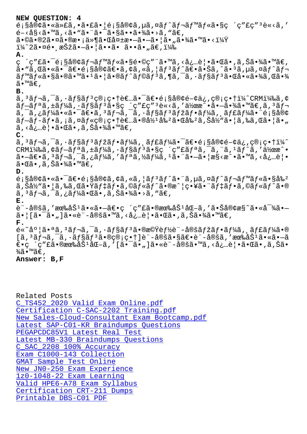$E_1$ §ã®γã•№ã∕Lã,•㕣㕡E¡§ã®γã,µã,¤aj aj 'aj‴aj≪ã•§ç ´ç £ç é-<å§<ã•™ã, <ã• "ã• ¨ã• ¯ã•§ã••㕾ã• >ã, "ã€,  $\tilde{a} \cdot \mathbb{O}$ ã $\cdot \mathbb{O}2\tilde{a} \cdot \mathbb{O} \tilde{a} \cdot \mathbb{O} \tilde{x} \cdot \tilde{a} \cdot \mathbb{O} \tilde{a} \cdot \mathbb{O} \tilde{a} \cdot \mathbb{O} \tilde{a} \cdot \mathbb{O} \tilde{a} \cdot \mathbb{O} \tilde{a} \cdot \mathbb{O} \tilde{a} \cdot \mathbb{O} \tilde{a} \cdot \mathbb{O} \tilde{a} \cdot \mathbb{O} \tilde{a} \cdot \mathbb{O} \tilde{a} \cdot \mathbb{O} \tilde{a$  $i\frac{1}{4}$  $2\tilde{a} \cdot \alpha$ é $\cdot$ , 択ã $\cdot -\tilde{a} \cdot |\tilde{a} \cdot \tilde{a} \cdot \tilde{a} \cdot \tilde{a} \cdot \tilde{a} \cdot \tilde{a} \cdot \tilde{a} \cdot \tilde{a}$ **A.** ç ´ç″£ã•¯é¡§å®¢ãƒ¬ãƒ™ãƒ«ã•§é•©ç″¨ã•™ã,<必覕㕌ã•,ã,Šã•¾ã•™ã€,  $a \cdot \tilde{a}$ , Cã $\cdot \tilde{a}$  $\cdot \tilde{a}$  $\cdot \tilde{b}$   $\tilde{c}$   $\tilde{c}$   $\tilde{c}$   $\tilde{c}$   $\tilde{c}$   $\tilde{c}$   $\tilde{c}$   $\tilde{c}$   $\tilde{c}$   $\tilde{c}$   $\tilde{c}$   $\tilde{c}$   $\tilde{c}$   $\tilde{c}$   $\tilde{c}$   $\tilde{c}$   $\tilde{c}$   $\tilde{c}$   $\tilde{c}$   $\tilde$  $\tilde{a}f$ mã $f$ «ã•§ã•®ã•™ã• $^1$ ã• $|\tilde{a}$ •®ã $f$ ^ã $f$ ©ã $f$  $^3$ ã,¶ã,¯ã,⋅ã $f$ §ã $f$  $^3$ 㕌啫㕾ã,Œã•¾ ã•™ã€. **B.**  $\tilde{a}$ ,  $3\tilde{a}f$   $\tilde{a}$ ,  $\tilde{a}f$   $\tilde{a}f$   $\tilde{a}g$   $\tilde{g}$   $\tilde{g}$   $\tilde{e}$   $\tilde{a}$   $\tilde{e}$   $\tilde{a}$   $\tilde{e}$   $\tilde{a}$   $\tilde{e}$   $\tilde{e}$   $\tilde{a}$   $\tilde{g}$   $\tilde{a}$   $\tilde{g}$   $\tilde{g}$   $\tilde{e}$   $\tilde{e}$   $\tilde{a}$  $\tilde{a}f-\tilde{a}f^a\tilde{a}$ , $\pm\tilde{a}f\tilde{a}$  $\tilde{a}$ , $\tilde{a}f\tilde{a}$  $\tilde{s}$ ç" $\tilde{c}$ " $\tilde{c}$ " $\tilde{s}$  $\tilde{c}$ ,  $\tilde{a}$ , ' $\tilde{a}$  $\tilde{c}$ ' $\tilde{a}$ ,  $\tilde{a}$  $\tilde{c}$  $\tilde{a}$ ,  $\tilde{a}$  $\tilde{c}$  $\tilde{a}$ ,  $\tilde{a}$  $\tilde{f}$  $\tilde{$  $a, \bar{a}, \bar{a}f\$ á • «ã • ¯ã $\epsilon$ •ã,  $a, \bar{a}f$ тã, ¯ã, •ã $f$ §ã $f$  $a, \bar{a}f$ ʻã $f\$ á $a, \bar{a}f$ £ã $f\$ á $a$  • ¨é $i$ §å®¢  $\tilde{a}f$ –ã $f$ –ã $f$ •ã, ¡ã,¤ã $f$ «ç®¡ç•†è€…ã•®å½ $^1$ å‰ $^2$ 㕌å‰ $^2$ ã, $\check{S}$ å½ $^u$ 㕦ã,‰ã,Œã•¦ã•" ã, <必覕㕌ã•,ã,Šã•¾ã•™ã€, **C.**  $a,$ <sup>3</sup> $a,$ <sup>-</sup>ã,· $a,$  $a$  $f$ s $a,$  $f$  $a,$  $f$  $f$  $a,$  $f$  $a,$  $f$  $a,$  $f$  $a,$  $f$  $a,$  $f$  $a,$  $f$  $a,$  $f$  $a,$  $f$  $a,$  $f$  $a,$  $f$  $a,$  $f$  $a,$  $f$  $a,$  $f$  $a,$  $f$  $a,$  $f$  $a,$  $f$  $a,$  $f$  $a,$  $f$  $a,$  $f$  $a,$  $f$  $a,$  $f$  $a,$  $f$  $a,$  $f$  $a,$  $f$  $a,$  $f$ CRMI¼‰ã, ¢ãf-ãfªã, ±ãf¼ã, ·ãf§ãf<sup>3</sup>ã•§ç ´ç"£ãfªã, ¯ã, ¨ã, 1ãf^ã, '作æ^•  $a - \tilde{a} \in \tilde{a}$ ,  $3\tilde{a}f - \tilde{a}$ ,  $\tilde{a}f + \tilde{a}f + \tilde{a}f + \tilde{a}f + \tilde{a}f + \tilde{a}f + \tilde{a}f + \tilde{a}f + \tilde{a}f + \tilde{a}f + \tilde{a}f + \tilde{a}f + \tilde{a}f + \tilde{a}f + \tilde{a}f + \tilde{a}f + \tilde{a}f + \tilde{a}f + \tilde{a}f + \tilde{a}f + \tilde{a}f + \tilde{a}f + \tilde{a$ 㕌ã•,ã,Šã•¾ã•™ã€, **D.**  $\epsilon$ ; §å®¢ã•«ã•¯ã€• $\epsilon$ ; §å®¢ã, ¢ã, «ã, ¦ã $f$ <sup>3</sup>ã $f$ ^㕨ã, µã, ¤ã $f$ ^ã $f$ ‹ $f$ ™ã $f$ «ã•§å‰<sup>2</sup> ã,Šå½"㕦ã,‰ã,Œã•Ÿãƒ‡ãƒ•ã,©ãƒ«ãƒ^ã•®æ^¦ç•¥ã•¨ãƒ‡ãƒ•ã,©ãƒ«ãƒ^ã•® ã, <sup>з</sup>レã, -ã, ¿ãƒ¼ã•Œã•,ã, Šã•¾ã•>ã, "ã€, **E.** è¨-定ã,′有努㕫㕗〕ç ´ç″£ã•®æœ‰åŠªåŒ–ã,′㕊客æ§~㕫対ã•— 㕦[㕯ã•"]ã•«è¨-定ã•™ã,<必覕㕌ã•,ã,Šã•¾ã•™ã€, **F.**  $\tilde{\mathcal{L}}$ é«~度㕪ã,  $^3$ ã $f$ ‹,  $^-\tilde{a}$ ,  $\tilde{a}$ f $^5$ ã $f^3$ 㕮機è $f$ ½è¨-定ã $f$ žã $f$ •ã $f$ ¼ã, ¸ã $f$ £ã $f$ ¼ã•®  $[\tilde{a}, \tilde{a}f\tilde{a}, \tilde{a}, \tilde{a}f\tilde{a}]$ s is  $\tilde{a}e\tilde{a}e\tilde{b}$ ic  $\tilde{a}e\tilde{b}$ i –å $\tilde{a}e\tilde{a}e\tilde{b}$ i –å $\tilde{a}e\tilde{a}e\tilde{b}$ i – $\tilde{a}e\tilde{a}$ ۥç ´ç″£ã•®æœ‰åŠªåŒ–ã,′[㕯ã•"]ã•«è¨-定ã•™ã,<必覕㕌ã•,ã,Šã•  $\frac{3}{4}$ ã•™ã€,

**Answer: B,F**

Related Posts C\_TS452\_2020 Valid Exam Online.pdf Certification C-SAC-2202 Training.pdf New Sales-Cloud-Consultant Exam Bootcamp.pdf [Latest SAP-C01-KR Braindumps Questi](http://www.mitproduct.com/samrock.com.tw/torrent-Valid-Exam-Online.pdf-505161/C_TS452_2020-exam/)ons [PEGAPCDC85V1 Latest Real Test](http://www.mitproduct.com/samrock.com.tw/torrent-Certification--Training.pdf-515161/C-SAC-2202-exam/) [Latest MB-330 Braindumps Questions](http://www.mitproduct.com/samrock.com.tw/torrent-New--Exam-Bootcamp.pdf-505151/Sales-Cloud-Consultant-exam/) C\_SAC\_2208 100% Accuracy [Exam C1000-143 Collection](http://www.mitproduct.com/samrock.com.tw/torrent-Latest-Real-Test-040505/PEGAPCDC85V1-exam/) GMAT Sample Test Online [New JN0-250 Exam Experie](http://www.mitproduct.com/samrock.com.tw/torrent-100%25-Accuracy-840505/C_SAC_2208-exam/)[nce](http://www.mitproduct.com/samrock.com.tw/torrent-Latest--Braindumps-Questions-405151/MB-330-exam/) 1z0-1048-22 Exam Learning [Valid HPE6-A78 Exam Sylla](http://www.mitproduct.com/samrock.com.tw/torrent-Exam--Collection-840405/C1000-143-exam/)bus [Certification CRT-211](http://www.mitproduct.com/samrock.com.tw/torrent-Sample-Test-Online-262727/GMAT-exam/) [Dumps](http://www.mitproduct.com/samrock.com.tw/torrent-New--Exam-Experience-272738/JN0-250-exam/) [Printable DBS-C01 PDF](http://www.mitproduct.com/samrock.com.tw/torrent-Exam-Learning-848405/1z0-1048-22-exam/)